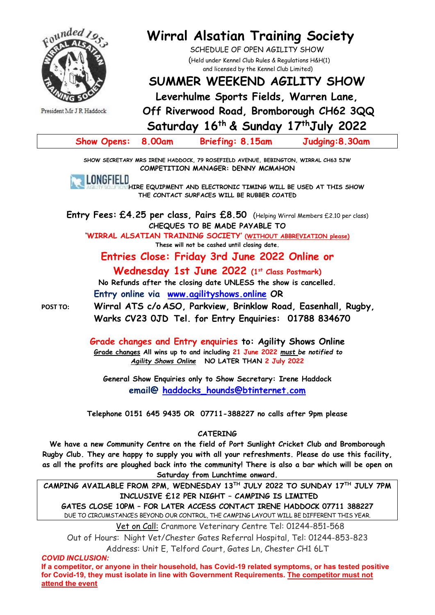

President Mr J R Haddock

# **Wirral Alsatian Training Society**

SCHEDULE OF OPEN AGILITY SHOW (Held under Kennel Club Rules & Regulations H&H(1) and licensed by the Kennel Club Limited)

# **SUMMER WEEKEND AGILITY SHOW**

**Leverhulme Sports Fields, Warren Lane,**

**Off Riverwood Road, Bromborough CH62 3QQ**

**Saturday 16 th & Sunday 17 thJuly 2022**

| Show Opens: 8.00am | <b>Briefing: 8.15am</b> | Judging: 8.30am |
|--------------------|-------------------------|-----------------|
|--------------------|-------------------------|-----------------|

**SHOW SECRETARY MRS IRENE HADDOCK, 79 ROSEFIELD AVENUE, BEBINGTON, WIRRAL CH63 5JW COMPETITION MANAGER: DENNY MCMAHON**



**HIRE EQUIPMENT AND ELECTRONIC TIMING WILL BE USED AT THIS SHOW THE CONTACT SURFACES WILL BE RUBBER COATED**

**Entry Fees: £4.25 per class, Pairs £8.50** (Helping Wirral Members £2.10 per class) **CHEQUES TO BE MADE PAYABLE TO**

**'WIRRAL ALSATIAN TRAINING SOCIETY' (WITHOUT ABBREVIATION please) These will not be cashed until closing date.**

# **Entries Close: Friday 3rd June 2022 Online or Wednesday 1st June 2022 (1st Class Postmark)**

**No Refunds after the closing date UNLESS the show is cancelled.**

**Entry online via [www.agilityshows.online](http://www.agilityshows.online/) OR**

**POST TO: Wirral ATS c/o ASO, Parkview, Brinklow Road, Easenhall, Rugby, Warks CV23 0JD Tel. for Entry Enquiries: 01788 834670**

> **Grade changes and Entry enquiries to: Agility Shows Online Grade changes All wins up to and including 21 June 2022** *must be notified to Agility Shows Online* **NO LATER THAN 2 July 2022**

**General Show Enquiries only to Show Secretary: Irene Haddock email@ haddocks\_hounds@btinternet.com**

**Telephone 0151 645 9435 OR 07711-388227 no calls after 9pm please**

### **CATERING**

**We have a new Community Centre on the field of Port Sunlight Cricket Club and Bromborough Rugby Club. They are happy to supply you with all your refreshments. Please do use this facility, as all the profits are ploughed back into the community! There is also a bar which will be open on Saturday from Lunchtime onward.**

**CAMPING AVAILABLE FROM 2PM, WEDNESDAY 13 TH JULY 2022 TO SUNDAY 17 TH JULY 7PM INCLUSIVE £12 PER NIGHT – CAMPING IS LIMITED GATES CLOSE 10PM – FOR LATER ACCESS CONTACT IRENE HADDOCK 07711 388227** DUE TO CIRCUMSTANCES BEYOND OUR CONTROL, THE CAMPING LAYOUT WILL BE DIFFERENT THIS YEAR.

Vet on Call: Cranmore Veterinary Centre Tel: 01244-851-568

Out of Hours: Night Vet/Chester Gates Referral Hospital, Tel: 01244-853-823 Address: Unit E, Telford Court, Gates Ln, Chester CH1 6LT

*COVID INCLUSION:*

**If a competitor, or anyone in their household, has Covid-19 related symptoms, or has tested positive for Covid-19, they must isolate in line with Government Requirements. The competitor must not attend the event**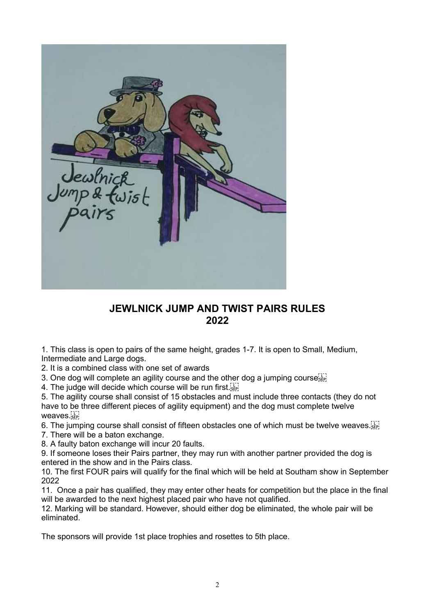

# **JEWLNICK JUMP AND TWIST PAIRS RULES 2022**

1. This class is open to pairs of the same height, grades 1-7. It is open to Small, Medium, Intermediate and Large dogs.

2. It is a combined class with one set of awards

3. One dog will complete an agility course and the other dog a jumping course  $\mathbb{E}^{\{1\}}_{\text{sep}}$ 

4. The judge will decide which course will be run first.

5. The agility course shall consist of 15 obstacles and must include three contacts (they do not have to be three different pieces of agility equipment) and the dog must complete twelve weaves.

6. The jumping course shall consist of fifteen obstacles one of which must be twelve weaves.

7. There will be a baton exchange.

8. A faulty baton exchange will incur 20 faults.

9. If someone loses their Pairs partner, they may run with another partner provided the dog is entered in the show and in the Pairs class.

10. The first FOUR pairs will qualify for the final which will be held at Southam show in September 2022

11. Once a pair has qualified, they may enter other heats for competition but the place in the final will be awarded to the next highest placed pair who have not qualified.

12. Marking will be standard. However, should either dog be eliminated, the whole pair will be eliminated.

The sponsors will provide 1st place trophies and rosettes to 5th place.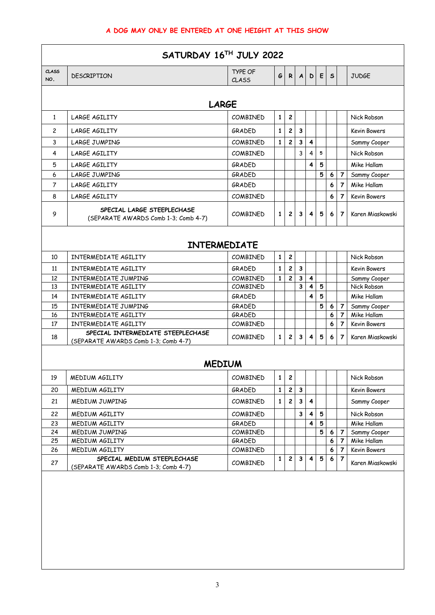| SATURDAY 16TH JULY 2022 |                                                                                                   |                                |              |                         |              |                |   |              |                                  |                                         |  |  |  |  |  |
|-------------------------|---------------------------------------------------------------------------------------------------|--------------------------------|--------------|-------------------------|--------------|----------------|---|--------------|----------------------------------|-----------------------------------------|--|--|--|--|--|
| CLASS<br>NO.            | <b>DESCRIPTION</b>                                                                                | <b>TYPE OF</b><br><b>CLASS</b> | G            | R.                      | $\mathbf{A}$ | D              | E | $\mathsf{s}$ |                                  | <b>JUDGE</b>                            |  |  |  |  |  |
|                         | <b>LARGE</b>                                                                                      |                                |              |                         |              |                |   |              |                                  |                                         |  |  |  |  |  |
| $\mathbf{1}$            | <b>LARGE AGILITY</b>                                                                              | COMBINED                       | $\mathbf{1}$ | $\overline{\mathbf{c}}$ |              |                |   |              |                                  | Nick Robson                             |  |  |  |  |  |
| $\mathbf{2}^{\prime}$   | <b>LARGE AGILITY</b>                                                                              | GRADED                         | 1            | $\overline{\mathbf{c}}$ | 3            |                |   |              |                                  | <b>Kevin Bowers</b>                     |  |  |  |  |  |
| 3                       | <b>LARGE JUMPING</b>                                                                              | COMBINED                       | 1            | $\overline{c}$          | 3            | $\overline{4}$ |   |              |                                  | Sammy Cooper                            |  |  |  |  |  |
| 4                       | <b>LARGE AGILITY</b>                                                                              | COMBINED                       |              |                         | 3            | 4              | 5 |              |                                  | Nick Robson                             |  |  |  |  |  |
| 5                       | <b>LARGE AGILITY</b>                                                                              | GRADED                         |              |                         |              | 4              | 5 |              |                                  | Mike Hallam                             |  |  |  |  |  |
| 6                       | LARGE JUMPING                                                                                     | GRADED                         |              |                         |              |                | 5 | 6            | 7                                | Sammy Cooper                            |  |  |  |  |  |
| $\overline{7}$          | LARGE AGILITY                                                                                     | GRADED                         |              |                         |              |                |   | 6            | $\overline{7}$                   | Mike Hallam                             |  |  |  |  |  |
| 8                       | <b>LARGE AGILITY</b>                                                                              | <b>COMBINED</b>                |              |                         |              |                |   | 6            | $\overline{7}$                   | <b>Kevin Bowers</b>                     |  |  |  |  |  |
| 9                       | SPECIAL LARGE STEEPLECHASE<br>(SEPARATE AWARDS Comb 1-3: Comb 4-7)                                | <b>COMBINED</b>                | 1            | $\overline{c}$          | 3            | 4              | 5 | 6            | $\overline{7}$                   | Karen Miaskowski                        |  |  |  |  |  |
|                         | <b>INTERMEDIATE</b>                                                                               |                                |              |                         |              |                |   |              |                                  |                                         |  |  |  |  |  |
| 10                      | INTERMEDIATE AGILITY                                                                              | <b>COMBINED</b>                | $\mathbf{1}$ | $\boldsymbol{2}$        |              |                |   |              |                                  | Nick Robson                             |  |  |  |  |  |
| 11                      | INTERMEDIATE AGILITY                                                                              | GRADED                         | $\mathbf{1}$ | $\overline{c}$          | $\mathbf{3}$ |                |   |              |                                  | <b>Kevin Bowers</b>                     |  |  |  |  |  |
| 12                      | INTERMEDIATE JUMPING                                                                              | <b>COMBINED</b>                | 1            | $\overline{c}$          | 3            | 4              |   |              |                                  | Sammy Cooper                            |  |  |  |  |  |
| 13                      | INTERMEDIATE AGILITY                                                                              | <b>COMBINED</b>                |              |                         | 3            | 4              | 5 |              |                                  | Nick Robson                             |  |  |  |  |  |
| 14                      | INTERMEDIATE AGILITY                                                                              | GRADED                         |              |                         |              | 4              | 5 |              |                                  | Mike Hallam                             |  |  |  |  |  |
| 15                      | INTERMEDIATE JUMPING                                                                              | GRADED                         |              |                         |              |                | 5 | 6            | $\overline{7}$                   | Sammy Cooper                            |  |  |  |  |  |
| 16                      | INTERMEDIATE AGILITY                                                                              | GRADED                         |              |                         |              |                |   | 6            | 7                                | Mike Hallam                             |  |  |  |  |  |
| 17<br>18                | INTERMEDIATE AGILITY<br>SPECIAL INTERMEDIATE STEEPLECHASE<br>(SEPARATE AWARDS Comb 1-3; Comb 4-7) | COMBINED<br><b>COMBINED</b>    | $\mathbf{1}$ | $\overline{c}$          | 3            | 4              | 5 | 6<br>6       | $\overline{7}$<br>$\overline{7}$ | <b>Kevin Bowers</b><br>Karen Miaskowski |  |  |  |  |  |
|                         | <b>MEDIUM</b>                                                                                     |                                |              |                         |              |                |   |              |                                  |                                         |  |  |  |  |  |
| 19                      | MEDIUM AGILITY                                                                                    | COMBINED                       | 1            | $\overline{c}$          |              |                |   |              |                                  | Nick Robson                             |  |  |  |  |  |
| 20                      | MEDIUM AGILITY                                                                                    | GRADED                         | 1            | $\overline{c}$          | $\mathbf{3}$ |                |   |              |                                  | Kevin Bowers                            |  |  |  |  |  |
| 21                      | <b>MEDIUM JUMPING</b>                                                                             | COMBINED                       | 1            | $\overline{c}$          | 3            | 4              |   |              |                                  | Sammy Cooper                            |  |  |  |  |  |
| 22                      | MEDIUM AGILITY                                                                                    | COMBINED                       |              |                         | 3            |                | 5 |              |                                  | Nick Robson                             |  |  |  |  |  |
| 23                      | MEDIUM AGILITY                                                                                    | GRADED                         |              |                         |              | 4              | 5 |              |                                  | Mike Hallam                             |  |  |  |  |  |
| 24                      | MEDIUM JUMPING                                                                                    | COMBINED                       |              |                         |              |                | 5 | 6            | 7                                | Sammy Cooper                            |  |  |  |  |  |
| 25                      | MEDIUM AGILITY                                                                                    | GRADED                         |              |                         |              |                |   | 6            | 7                                | Mike Hallam                             |  |  |  |  |  |
| 26                      | MEDIUM AGILITY                                                                                    | COMBINED                       |              |                         |              |                |   | 6            | 7                                | Kevin Bowers                            |  |  |  |  |  |
| 27                      | SPECIAL MEDIUM STEEPLECHASE<br>(SEPARATE AWARDS Comb 1-3; Comb 4-7)                               | COMBINED                       | 1            | $\boldsymbol{2}$        | $\mathbf{3}$ | 4              | 5 | 6            | 7                                | Karen Miaskowski                        |  |  |  |  |  |
|                         |                                                                                                   |                                |              |                         |              |                |   |              |                                  |                                         |  |  |  |  |  |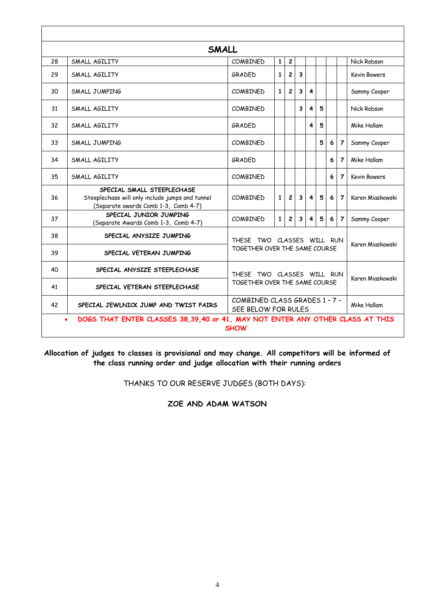|    | <b>SMALL</b>                                                                                                          |                                                      |              |                         |              |   |                  |   |                |                     |  |   |                |                     |  |
|----|-----------------------------------------------------------------------------------------------------------------------|------------------------------------------------------|--------------|-------------------------|--------------|---|------------------|---|----------------|---------------------|--|---|----------------|---------------------|--|
| 28 | SMALL AGILITY                                                                                                         | COMBINED                                             | Nick Robson  |                         |              |   |                  |   |                |                     |  |   |                |                     |  |
| 29 | SMALL AGILITY                                                                                                         | $\overline{2}$<br>3<br>$\mathbf{1}$<br>GRADED        |              |                         |              |   |                  |   |                | <b>Kevin Bowers</b> |  |   |                |                     |  |
| 30 | SMALL JUMPING                                                                                                         | COMBINED                                             | $\mathbf{1}$ | $\overline{c}$          | $\mathbf{3}$ | 4 |                  |   |                | Sammy Cooper        |  |   |                |                     |  |
| 31 | SMALL AGILITY                                                                                                         | <b>COMBINED</b>                                      |              |                         | 3            | 4 | 5                |   |                | Nick Robson         |  |   |                |                     |  |
| 32 | SMALL AGILITY                                                                                                         | GRADED                                               |              |                         | 4            | 5 |                  |   | Mike Hallam    |                     |  |   |                |                     |  |
| 33 | SMALL JUMPING                                                                                                         | 5<br><b>COMBINED</b>                                 |              |                         |              |   |                  | 6 | $\overline{7}$ | Sammy Cooper        |  |   |                |                     |  |
| 34 | SMALL AGILITY                                                                                                         | GRADED                                               |              |                         |              |   |                  | 6 | $\overline{7}$ | Mike Hallam         |  |   |                |                     |  |
| 35 | SMALL AGILITY                                                                                                         | <b>COMBINED</b>                                      |              |                         |              |   |                  |   |                |                     |  | 6 | $\overline{7}$ | <b>Kevin Bowers</b> |  |
| 36 | SPECIAL SMALL STEEPLECHASE<br>Steeplechase will only include jumps and tunnel<br>(Separate awards Comb 1-3, Comb 4-7) | <b>COMBINED</b>                                      | $\mathbf{1}$ | $\overline{\mathbf{c}}$ | 3            | 4 | 5                | 6 | $\overline{7}$ | Karen Miaskowski    |  |   |                |                     |  |
| 37 | SPECIAL JUNIOR JUMPING<br>(Separate Awards Comb 1-3, Comb 4-7)                                                        | COMBINED                                             | $\mathbf{1}$ | $\overline{c}$          | 3            | 4 | 5                | 6 | $\overline{7}$ | Sammy Cooper        |  |   |                |                     |  |
| 38 | SPECIAL ANYSIZE JUMPING                                                                                               | THESE TWO CLASSES WILL RUN                           |              |                         |              |   | Karen Miaskowski |   |                |                     |  |   |                |                     |  |
| 39 | SPECIAL VETERAN JUMPING                                                                                               | TOGETHER OVER THE SAME COURSE                        |              |                         |              |   |                  |   |                |                     |  |   |                |                     |  |
| 40 | SPECIAL ANYSIZE STEEPLECHASE                                                                                          | TWO CLASSES WILL RUN<br><b>THESE</b>                 |              |                         |              |   |                  |   |                | Karen Miaskowski    |  |   |                |                     |  |
| 41 | SPECIAL VETERAN STEEPLECHASE                                                                                          | TOGETHER OVER THE SAME COURSE                        |              |                         |              |   |                  |   |                |                     |  |   |                |                     |  |
| 42 | SPECIAL JEWLNICK JUMP AND TWIST PAIRS                                                                                 | COMBINED CLASS GRADES 1 - 7 -<br>SEE BELOW FOR RULES |              |                         |              |   |                  |   |                | Mike Hallam         |  |   |                |                     |  |
|    | DOGS THAT ENTER CLASSES 38,39,40 or 41, MAY NOT ENTER ANY OTHER CLASS AT THIS<br>$\bullet$<br><b>SHOW</b>             |                                                      |              |                         |              |   |                  |   |                |                     |  |   |                |                     |  |

**Allocation of judges to classes is provisional and may change. All competitors will be informed of the class running order and judge allocation with their running orders**

THANKS TO OUR RESERVE JUDGES (BOTH DAYS):

**ZOE AND ADAM WATSON**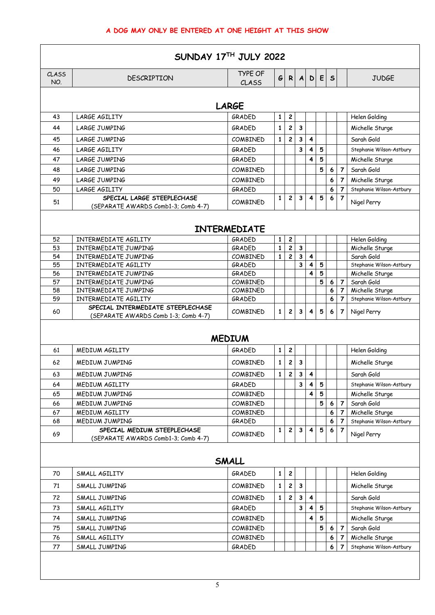|              | SUNDAY $17TH$ JULY 2022                                                   |                         |              |                         |              |              |        |              |                                  |                                             |  |  |  |  |
|--------------|---------------------------------------------------------------------------|-------------------------|--------------|-------------------------|--------------|--------------|--------|--------------|----------------------------------|---------------------------------------------|--|--|--|--|
| CLASS<br>NO. | <b>DESCRIPTION</b>                                                        | <b>TYPE OF</b><br>CLASS | $\epsilon$   | $\mathsf{R}$            | $\mathbf{A}$ | $\mathbf{D}$ | E      | $\mathsf{s}$ |                                  | <b>JUDGE</b>                                |  |  |  |  |
|              | <b>LARGE</b>                                                              |                         |              |                         |              |              |        |              |                                  |                                             |  |  |  |  |
| 43           | LARGE AGILITY                                                             | GRADED                  | 1            | 2                       |              |              |        |              |                                  | Helen Golding                               |  |  |  |  |
| 44           | <b>LARGE JUMPING</b>                                                      | GRADED                  | $\mathbf{1}$ | 2                       | 3            |              |        |              |                                  | Michelle Sturge                             |  |  |  |  |
| 45           | <b>LARGE JUMPING</b>                                                      | COMBINED                | $\mathbf{1}$ | $\overline{\mathbf{c}}$ | 3            | 4            |        |              |                                  | Sarah Gold                                  |  |  |  |  |
| 46           | <b>LARGE AGILITY</b>                                                      | GRADED                  |              |                         | 3            | 4            | 5      |              |                                  | Stephanie Wilson-Astbury                    |  |  |  |  |
| 47           | <b>LARGE JUMPING</b>                                                      | GRADED                  |              |                         |              | 4            | 5      |              |                                  | Michelle Sturge                             |  |  |  |  |
| 48           | <b>LARGE JUMPING</b>                                                      | <b>COMBINED</b>         |              |                         |              |              | 5      | 6            | $\overline{7}$                   | Sarah Gold                                  |  |  |  |  |
|              |                                                                           |                         |              |                         |              |              |        |              |                                  |                                             |  |  |  |  |
| 49           | LARGE JUMPING                                                             | <b>COMBINED</b>         |              |                         |              |              |        | 6            | 7                                | Michelle Sturge                             |  |  |  |  |
| 50           | LARGE AGILITY<br>SPECIAL LARGE STEEPLECHASE                               | <b>GRADED</b>           | 1            | 2                       | 3            | 4            | 5      | 6<br>6       | $\overline{7}$<br>$\overline{7}$ | Stephanie Wilson-Astbury                    |  |  |  |  |
| 51           | (SEPARATE AWARDS Comb1-3; Comb 4-7)                                       | <b>COMBINED</b>         |              |                         |              |              |        |              |                                  | Nigel Perry                                 |  |  |  |  |
|              | <b>INTERMEDIATE</b>                                                       |                         |              |                         |              |              |        |              |                                  |                                             |  |  |  |  |
| 52           | INTERMEDIATE AGILITY                                                      | GRADED                  | 1            | 2                       |              |              |        |              |                                  | Helen Golding                               |  |  |  |  |
| 53           | INTERMEDIATE JUMPING                                                      | <b>GRADED</b>           | $\mathbf{1}$ | $\overline{c}$          | 3            |              |        |              |                                  | Michelle Sturge                             |  |  |  |  |
| 54           | INTERMEDIATE JUMPING                                                      | COMBINED                | $\mathbf{1}$ | $\overline{c}$          | $\mathbf{3}$ | 4            |        |              |                                  | Sarah Gold                                  |  |  |  |  |
| 55<br>56     | INTERMEDIATE AGILITY<br>INTERMEDIATE JUMPING                              | GRADED<br><b>GRADED</b> |              |                         | 3            | 4<br>4       | 5<br>5 |              |                                  | Stephanie Wilson-Astbury<br>Michelle Sturge |  |  |  |  |
| 57           | INTERMEDIATE JUMPING                                                      | COMBINED                |              |                         |              |              | 5      | 6            | $\overline{7}$                   | Sarah Gold                                  |  |  |  |  |
| 58           | INTERMEDIATE JUMPING                                                      | COMBINED                |              |                         |              |              |        | 6            | 7                                | Michelle Sturge                             |  |  |  |  |
| 59           | INTERMEDIATE AGILITY                                                      | GRADED                  |              |                         |              |              |        | 6            | $\overline{7}$                   | Stephanie Wilson-Astbury                    |  |  |  |  |
| 60           | SPECIAL INTERMEDIATE STEEPLECHASE<br>(SEPARATE AWARDS Comb 1-3; Comb 4-7) | COMBINED                | $\mathbf{1}$ | $\mathbf{2}$            | $\mathbf{3}$ | 4            | 5      | 6            | $\overline{7}$                   | Nigel Perry                                 |  |  |  |  |
|              |                                                                           | <b>MEDIUM</b>           |              |                         |              |              |        |              |                                  |                                             |  |  |  |  |
| 61           | MEDIUM AGILITY                                                            | <b>GRADED</b>           | 1            | 2                       |              |              |        |              |                                  | Helen Golding                               |  |  |  |  |
| 62           | <b>MEDIUM JUMPING</b>                                                     | COMBINED                | $\mathbf{1}$ | 2                       | 3            |              |        |              |                                  | Michelle Sturge                             |  |  |  |  |
| 63           | MEDIUM JUMPING                                                            | COMBINED                | $1\vert$     | $\mathbf{2}$            | 3            | 4            |        |              |                                  | Sarah Gold                                  |  |  |  |  |
| 64           | MEDIUM AGILITY                                                            | <b>GRADED</b>           |              |                         | 3            | 4            | 5      |              |                                  | Stephanie Wilson-Astbury                    |  |  |  |  |
| 65           | <b>MEDIUM JUMPING</b>                                                     | COMBINED                |              |                         |              | 4            | 5      |              |                                  | Michelle Sturge                             |  |  |  |  |
| 66           | <b>MEDIUM JUMPING</b>                                                     | <b>COMBINED</b>         |              |                         |              |              | 5      | 6            | $\overline{7}$                   | Sarah Gold                                  |  |  |  |  |
| 67           | MEDIUM AGILITY                                                            | COMBINED                |              |                         |              |              |        | 6            | 7                                | Michelle Sturge                             |  |  |  |  |
| 68           | MEDIUM JUMPING                                                            | GRADED                  |              |                         |              |              |        | 6            | 7                                | Stephanie Wilson-Astbury                    |  |  |  |  |
| 69           | SPECIAL MEDIUM STEEPLECHASE<br>(SEPARATE AWARDS Comb1-3; Comb 4-7)        | COMBINED                | 1            | 2                       | 3            | 4            | 5      | 6            | 7                                | Nigel Perry                                 |  |  |  |  |
|              |                                                                           | SMALL                   |              |                         |              |              |        |              |                                  |                                             |  |  |  |  |
| 70           | SMALL AGILITY                                                             | GRADED                  | 1            | 2                       |              |              |        |              |                                  | Helen Golding                               |  |  |  |  |
| 71           | SMALL JUMPING                                                             | COMBINED                | $\mathbf{1}$ | $\overline{\mathbf{c}}$ | 3            |              |        |              |                                  | Michelle Sturge                             |  |  |  |  |
| 72           | SMALL JUMPING                                                             | COMBINED                | 1            | 2                       | 3            | 4            |        |              |                                  | Sarah Gold                                  |  |  |  |  |
| 73           | SMALL AGILITY                                                             | GRADED                  |              |                         | 3            | 4            | 5      |              |                                  | Stephanie Wilson-Astbury                    |  |  |  |  |
| 74           | SMALL JUMPING                                                             | COMBINED                |              |                         |              | 4            | 5      |              |                                  | Michelle Sturge                             |  |  |  |  |
| 75           | SMALL JUMPING                                                             | COMBINED                |              |                         |              |              | 5      | 6            | $\overline{7}$                   | Sarah Gold                                  |  |  |  |  |
| 76           | SMALL AGILITY                                                             | COMBINED                |              |                         |              |              |        | 6            | 7                                | Michelle Sturge                             |  |  |  |  |
| 77           | SMALL JUMPING                                                             | GRADED                  |              |                         |              |              |        | 6            | 7                                | Stephanie Wilson-Astbury                    |  |  |  |  |
|              |                                                                           |                         |              |                         |              |              |        |              |                                  |                                             |  |  |  |  |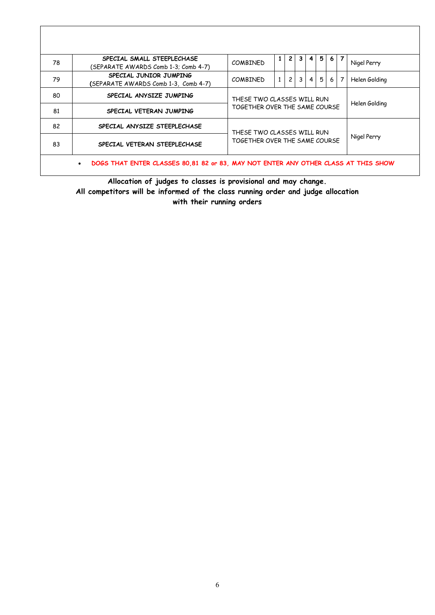| 78 | SPECIAL SMALL STEEPLECHASE<br>(SEPARATE AWARDS Comb 1-3; Comb 4-7)                 | <b>COMBINED</b>                                                                                      | $\mathbf{1}$  | $\mathbf{2}$ | 3 <sup>1</sup> | 4 | 5 | 6             |  | Nigel Perry |
|----|------------------------------------------------------------------------------------|------------------------------------------------------------------------------------------------------|---------------|--------------|----------------|---|---|---------------|--|-------------|
| 79 | SPECIAL JUNIOR JUMPING<br>(SEPARATE AWARDS Comb 1-3, Comb 4-7)                     | 3 <sup>1</sup><br>$\overline{2}$<br>4 <sup>1</sup><br>5<br>7<br>$\mathbf{1}$<br>6<br><b>COMBINED</b> |               |              |                |   |   | Helen Golding |  |             |
| 80 | SPECIAL ANYSIZE JUMPING                                                            | THESE TWO CLASSES WILL RUN                                                                           | Helen Golding |              |                |   |   |               |  |             |
| 81 | SPECIAL VETERAN JUMPING                                                            | TOGFTHER OVER THE SAME COURSE                                                                        |               |              |                |   |   |               |  |             |
| 82 | SPECIAL ANYSIZE STEEPLECHASE                                                       | THESE TWO CLASSES WILL RUN<br>Nigel Perry<br>TOGETHER OVER THE SAME COURSE                           |               |              |                |   |   |               |  |             |
| 83 | SPECIAL VETERAN STEEPLECHASE                                                       |                                                                                                      |               |              |                |   |   |               |  |             |
|    | DOGS THAT ENTER CLASSES 80,81 82 or 83, MAY NOT ENTER ANY OTHER CLASS AT THIS SHOW |                                                                                                      |               |              |                |   |   |               |  |             |

**Allocation of judges to classes is provisional and may change. All competitors will be informed of the class running order and judge allocation with their running orders**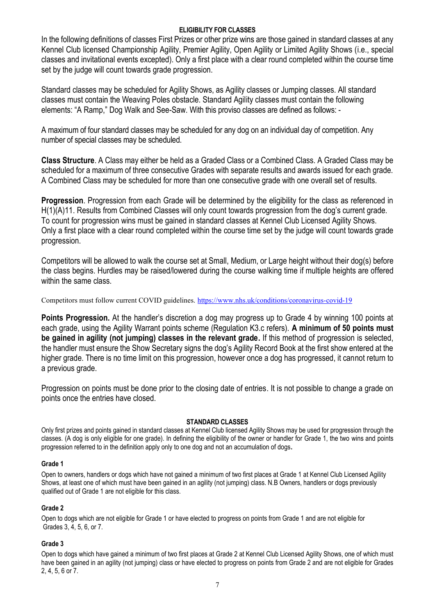#### **ELIGIBILITY FOR CLASSES**

In the following definitions of classes First Prizes or other prize wins are those gained in standard classes at any Kennel Club licensed Championship Agility, Premier Agility, Open Agility or Limited Agility Shows (i.e., special classes and invitational events excepted). Only a first place with a clear round completed within the course time set by the judge will count towards grade progression.

Standard classes may be scheduled for Agility Shows, as Agility classes or Jumping classes. All standard classes must contain the Weaving Poles obstacle. Standard Agility classes must contain the following elements: "A Ramp," Dog Walk and See-Saw. With this proviso classes are defined as follows: -

A maximum of four standard classes may be scheduled for any dog on an individual day of competition. Any number of special classes may be scheduled.

**Class Structure**. A Class may either be held as a Graded Class or a Combined Class. A Graded Class may be scheduled for a maximum of three consecutive Grades with separate results and awards issued for each grade. A Combined Class may be scheduled for more than one consecutive grade with one overall set of results.

**Progression**. Progression from each Grade will be determined by the eligibility for the class as referenced in H(1)(A)11. Results from Combined Classes will only count towards progression from the dog's current grade. To count for progression wins must be gained in standard classes at Kennel Club Licensed Agility Shows. Only a first place with a clear round completed within the course time set by the judge will count towards grade progression.

Competitors will be allowed to walk the course set at Small, Medium, or Large height without their dog(s) before the class begins. Hurdles may be raised/lowered during the course walking time if multiple heights are offered within the same class.

Competitors must follow current COVID guidelines.<https://www.nhs.uk/conditions/coronavirus-covid-19>

**Points Progression.** At the handler's discretion a dog may progress up to Grade 4 by winning 100 points at each grade, using the Agility Warrant points scheme (Regulation K3.c refers). **A minimum of 50 points must be gained in agility (not jumping) classes in the relevant grade.** If this method of progression is selected, the handler must ensure the Show Secretary signs the dog's Agility Record Book at the first show entered at the higher grade. There is no time limit on this progression, however once a dog has progressed, it cannot return to a previous grade.

Progression on points must be done prior to the closing date of entries. It is not possible to change a grade on points once the entries have closed.

#### **STANDARD CLASSES**

Only first prizes and points gained in standard classes at Kennel Club licensed Agility Shows may be used for progression through the classes. (A dog is only eligible for one grade). In defining the eligibility of the owner or handler for Grade 1, the two wins and points progression referred to in the definition apply only to one dog and not an accumulation of dogs**.** 

#### **Grade 1**

Open to owners, handlers or dogs which have not gained a minimum of two first places at Grade 1 at Kennel Club Licensed Agility Shows, at least one of which must have been gained in an agility (not jumping) class. N.B Owners, handlers or dogs previously qualified out of Grade 1 are not eligible for this class.

#### **Grade 2**

Open to dogs which are not eligible for Grade 1 or have elected to progress on points from Grade 1 and are not eligible for Grades 3, 4, 5, 6, or 7.

#### **Grade 3**

Open to dogs which have gained a minimum of two first places at Grade 2 at Kennel Club Licensed Agility Shows, one of which must have been gained in an agility (not jumping) class or have elected to progress on points from Grade 2 and are not eligible for Grades 2, 4, 5, 6 or 7.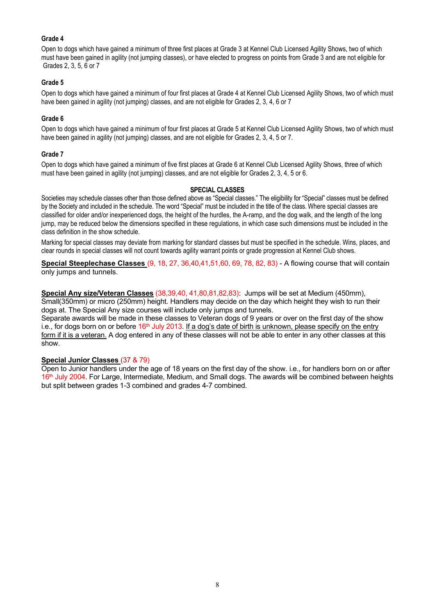#### **Grade 4**

Open to dogs which have gained a minimum of three first places at Grade 3 at Kennel Club Licensed Agility Shows, two of which must have been gained in agility (not jumping classes), or have elected to progress on points from Grade 3 and are not eligible for Grades 2, 3, 5, 6 or 7

#### **Grade 5**

Open to dogs which have gained a minimum of four first places at Grade 4 at Kennel Club Licensed Agility Shows, two of which must have been gained in agility (not jumping) classes, and are not eligible for Grades 2, 3, 4, 6 or 7

#### **Grade 6**

Open to dogs which have gained a minimum of four first places at Grade 5 at Kennel Club Licensed Agility Shows, two of which must have been gained in agility (not jumping) classes, and are not eligible for Grades 2, 3, 4, 5 or 7.

#### **Grade 7**

Open to dogs which have gained a minimum of five first places at Grade 6 at Kennel Club Licensed Agility Shows, three of which must have been gained in agility (not jumping) classes, and are not eligible for Grades 2, 3, 4, 5 or 6.

#### **SPECIAL CLASSES**

Societies may schedule classes other than those defined above as "Special classes." The eligibility for "Special" classes must be defined by the Society and included in the schedule. The word "Special" must be included in the title of the class. Where special classes are classified for older and/or inexperienced dogs, the height of the hurdles, the A-ramp, and the dog walk, and the length of the long jump, may be reduced below the dimensions specified in these regulations, in which case such dimensions must be included in the class definition in the show schedule.

Marking for special classes may deviate from marking for standard classes but must be specified in the schedule. Wins, places, and clear rounds in special classes will not count towards agility warrant points or grade progression at Kennel Club shows.

**Special Steeplechase Classes** (9, 18, 27, 36,40,41,51,60, 69, 78, 82, 83) - A flowing course that will contain only jumps and tunnels.

**Special Any size/Veteran Classes** (38,39,40, 41,80,81,82,83): Jumps will be set at Medium (450mm), Small(350mm) or micro (250mm) height. Handlers may decide on the day which height they wish to run their dogs at. The Special Any size courses will include only jumps and tunnels.

Separate awards will be made in these classes to Veteran dogs of 9 years or over on the first day of the show i.e., for dogs born on or before 16<sup>th</sup> July 2013. <u>If a dog's date of birth is unknown, please specify on the entry</u> form if it is a veteran. A dog entered in any of these classes will not be able to enter in any other classes at this show.

#### **Special Junior Classes** (37 & 79)

Open to Junior handlers under the age of 18 years on the first day of the show. i.e., for handlers born on or after 16<sup>th</sup> July 2004. For Large, Intermediate, Medium, and Small dogs. The awards will be combined between heights but split between grades 1-3 combined and grades 4-7 combined.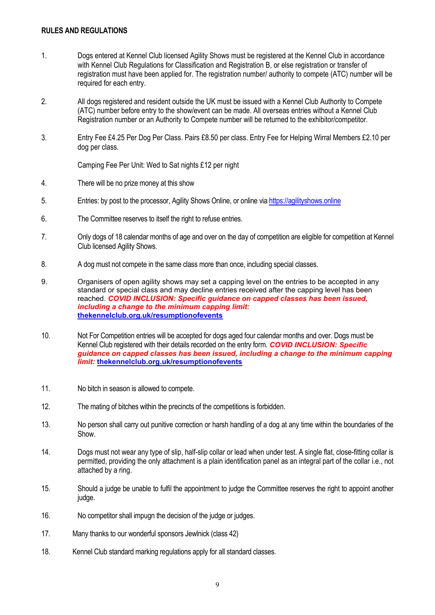#### **RULES AND REGULATIONS**

- 1. Dogs entered at Kennel Club licensed Agility Shows must be registered at the Kennel Club in accordance with Kennel Club Regulations for Classification and Registration B, or else registration or transfer of registration must have been applied for. The registration number/ authority to compete (ATC) number will be required for each entry.
- 2. All dogs registered and resident outside the UK must be issued with a Kennel Club Authority to Compete (ATC) number before entry to the show/event can be made. All overseas entries without a Kennel Club Registration number or an Authority to Compete number will be returned to the exhibitor/competitor.
- 3. Entry Fee £4.25 Per Dog Per Class. Pairs £8.50 per class. Entry Fee for Helping Wirral Members £2.10 per dog per class.

Camping Fee Per Unit: Wed to Sat nights £12 per night

- 4. There will be no prize money at this show
- 5. Entries: by post to the processor, Agility Shows Online, or online vi[a https://agilityshows.online](https://agilityshows.online/)
- 6. The Committee reserves to itself the right to refuse entries.
- 7. Only dogs of 18 calendar months of age and over on the day of competition are eligible for competition at Kennel Club licensed Agility Shows.
- 8. A dog must not compete in the same class more than once, including special classes.
- 9. Organisers of open agility shows may set a capping level on the entries to be accepted in any standard or special class and may decline entries received after the capping level has been reached. *COVID INCLUSION: Specific guidance on capped classes has been issued, including a change to the minimum capping limit:*  **[thekennelclub.org.uk/resumptionofevents](https://www.thekennelclub.org.uk/resumptionofevents)**
- 10. Not For Competition entries will be accepted for dogs aged four calendar months and over. Dogs must be Kennel Club registered with their details recorded on the entry form. *COVID INCLUSION: Specific guidance on capped classes has been issued, including a change to the minimum capping limit:* **[thekennelclub.org.uk/resumptionofevents](https://www.thekennelclub.org.uk/resumptionofevents)**
- 11. No bitch in season is allowed to compete.
- 12. The mating of bitches within the precincts of the competitions is forbidden.
- 13. No person shall carry out punitive correction or harsh handling of a dog at any time within the boundaries of the Show.
- 14. Dogs must not wear any type of slip, half-slip collar or lead when under test. A single flat, close-fitting collar is permitted, providing the only attachment is a plain identification panel as an integral part of the collar i.e., not attached by a ring.
- 15. Should a judge be unable to fulfil the appointment to judge the Committee reserves the right to appoint another judge.
- 16. No competitor shall impugn the decision of the judge or judges.
- 17. Many thanks to our wonderful sponsors Jewlnick (class 42)
- 18. Kennel Club standard marking regulations apply for all standard classes.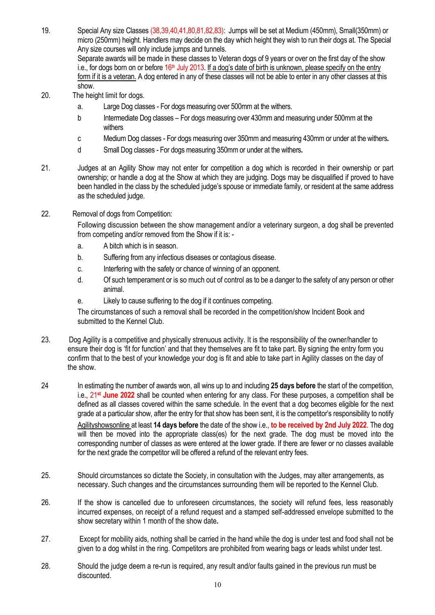19. Special Any size Classes (38,39,40,41,80,81,82,83): Jumps will be set at Medium (450mm), Small(350mm) or micro (250mm) height. Handlers may decide on the day which height they wish to run their dogs at. The Special Any size courses will only include jumps and tunnels. Separate awards will be made in these classes to Veteran dogs of 9 years or over on the first day of the show

i.e., for dogs born on or before 16<sup>th</sup> July 2013. If a dog's date of birth is unknown, please specify on the entry form if it is a veteran. A dog entered in any of these classes will not be able to enter in any other classes at this show.

- 20. The height limit for dogs.
	- a. Large Dog classes For dogs measuring over 500mm at the withers.
	- b Intermediate Dog classes For dogs measuring over 430mm and measuring under 500mm at the withers
	- c Medium Dog classes For dogs measuring over 350mm and measuring 430mm or under at the withers*.*
	- d Small Dog classes For dogs measuring 350mm or under at the withers*.*
- 21. Judges at an Agility Show may not enter for competition a dog which is recorded in their ownership or part ownership; or handle a dog at the Show at which they are judging. Dogs may be disqualified if proved to have been handled in the class by the scheduled judge's spouse or immediate family, or resident at the same address as the scheduled judge.
- 22. Removal of dogs from Competition:

Following discussion between the show management and/or a veterinary surgeon, a dog shall be prevented from competing and/or removed from the Show if it is: -

- a. A bitch which is in season.
- b. Suffering from any infectious diseases or contagious disease.
- c. Interfering with the safety or chance of winning of an opponent.
- d. Of such temperament or is so much out of control as to be a danger to the safety of any person or other animal.
- e. Likely to cause suffering to the dog if it continues competing.

The circumstances of such a removal shall be recorded in the competition/show Incident Book and submitted to the Kennel Club.

- 23. Dog Agility is a competitive and physically strenuous activity. It is the responsibility of the owner/handler to ensure their dog is 'fit for function' and that they themselves are fit to take part. By signing the entry form you confirm that to the best of your knowledge your dog is fit and able to take part in Agility classes on the day of the show.
- 24 In estimating the number of awards won, all wins up to and including **25 days before** the start of the competition, i.e., 21**st June 2022** shall be counted when entering for any class. For these purposes, a competition shall be defined as all classes covered within the same schedule. In the event that a dog becomes eligible for the next grade at a particular show, after the entry for that show has been sent, it is the competitor's responsibility to notify Agilityshowsonline at least **14 days before** the date of the show i.e., **to be received by 2nd July 2022**. The dog will then be moved into the appropriate class(es) for the next grade. The dog must be moved into the corresponding number of classes as were entered at the lower grade. If there are fewer or no classes available for the next grade the competitor will be offered a refund of the relevant entry fees.
- 25. Should circumstances so dictate the Society, in consultation with the Judges, may alter arrangements, as necessary. Such changes and the circumstances surrounding them will be reported to the Kennel Club.
- 26. If the show is cancelled due to unforeseen circumstances, the society will refund fees, less reasonably incurred expenses, on receipt of a refund request and a stamped self-addressed envelope submitted to the show secretary within 1 month of the show date**.**
- 27. Except for mobility aids, nothing shall be carried in the hand while the dog is under test and food shall not be given to a dog whilst in the ring. Competitors are prohibited from wearing bags or leads whilst under test.
- 28. Should the judge deem a re-run is required, any result and/or faults gained in the previous run must be discounted.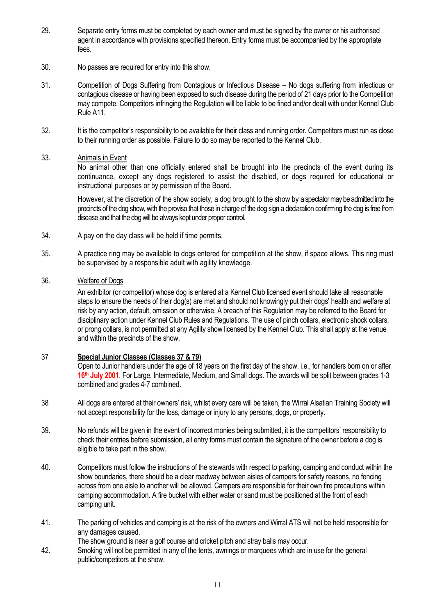- 29. Separate entry forms must be completed by each owner and must be signed by the owner or his authorised agent in accordance with provisions specified thereon. Entry forms must be accompanied by the appropriate fees.
- 30. No passes are required for entry into this show.
- 31. Competition of Dogs Suffering from Contagious or Infectious Disease No dogs suffering from infectious or contagious disease or having been exposed to such disease during the period of 21 days prior to the Competition may compete. Competitors infringing the Regulation will be liable to be fined and/or dealt with under Kennel Club Rule A11.
- 32. It is the competitor's responsibility to be available for their class and running order. Competitors must run as close to their running order as possible. Failure to do so may be reported to the Kennel Club.
- 33. Animals in Event

No animal other than one officially entered shall be brought into the precincts of the event during its continuance, except any dogs registered to assist the disabled, or dogs required for educational or instructional purposes or by permission of the Board.

However, at the discretion of the show society, a dog brought to the show by a spectator may be admitted into the precincts of the dog show, with the proviso that those in charge of the dog sign a declaration confirming the dog is free from disease and that the dog will be always kept under proper control.

- 34. A pay on the day class will be held if time permits.
- 35. A practice ring may be available to dogs entered for competition at the show, if space allows. This ring must be supervised by a responsible adult with agility knowledge.

#### 36. Welfare of Dogs

An exhibitor (or competitor) whose dog is entered at a Kennel Club licensed event should take all reasonable steps to ensure the needs of their dog(s) are met and should not knowingly put their dogs' health and welfare at risk by any action, default, omission or otherwise. A breach of this Regulation may be referred to the Board for disciplinary action under Kennel Club Rules and Regulations. The use of pinch collars, electronic shock collars, or prong collars, is not permitted at any Agility show licensed by the Kennel Club. This shall apply at the venue and within the precincts of the show.

### 37 **Special Junior Classes (Classes 37 & 79)**

Open to Junior handlers under the age of 18 years on the first day of the show. i.e., for handlers born on or after **16 th July 2001**. For Large, Intermediate, Medium, and Small dogs. The awards will be split between grades 1-3 combined and grades 4-7 combined.

- 38 All dogs are entered at their owners' risk, whilst every care will be taken, the Wirral Alsatian Training Society will not accept responsibility for the loss, damage or injury to any persons, dogs, or property.
- 39. No refunds will be given in the event of incorrect monies being submitted, it is the competitors' responsibility to check their entries before submission, all entry forms must contain the signature of the owner before a dog is eligible to take part in the show.
- 40. Competitors must follow the instructions of the stewards with respect to parking, camping and conduct within the show boundaries, there should be a clear roadway between aisles of campers for safety reasons, no fencing across from one aisle to another will be allowed. Campers are responsible for their own fire precautions within camping accommodation. A fire bucket with either water or sand must be positioned at the front of each camping unit.
- 41. The parking of vehicles and camping is at the risk of the owners and Wirral ATS will not be held responsible for any damages caused.

The show ground is near a golf course and cricket pitch and stray balls may occur.

42. Smoking will not be permitted in any of the tents, awnings or marquees which are in use for the general public/competitors at the show.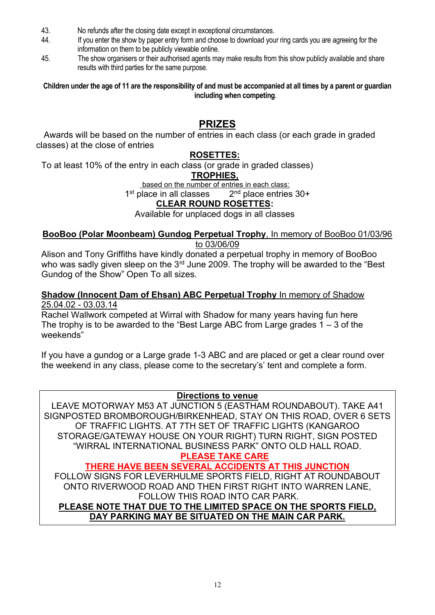- 43. No refunds after the closing date except in exceptional circumstances.
- 44. If you enter the show by paper entry form and choose to download your ring cards you are agreeing for the information on them to be publicly viewable online.
- 45. The show organisers or their authorised agents may make results from this show publicly available and share results with third parties for the same purpose.

**Children under the age of 11 are the responsibility of and must be accompanied at all times by a parent or guardian including when competing**.

# **PRIZES**

Awards will be based on the number of entries in each class (or each grade in graded classes) at the close of entries

# **ROSETTES:**

To at least 10% of the entry in each class (or grade in graded classes)

# **TROPHIES,**

based on the number of entries in each class:

1<sup>st</sup> place in all classes 2  $2<sup>nd</sup>$  place entries  $30+$ 

# **CLEAR ROUND ROSETTES:**

Available for unplaced dogs in all classes

### **BooBoo (Polar Moonbeam) Gundog Perpetual Trophy**, In memory of BooBoo 01/03/96 to 03/06/09

Alison and Tony Griffiths have kindly donated a perpetual trophy in memory of BooBoo who was sadly given sleep on the 3rd June 2009. The trophy will be awarded to the "Best" Gundog of the Show" Open To all sizes.

## **Shadow (Innocent Dam of Ehsan) ABC Perpetual Trophy** In memory of Shadow 25.04.02 - 03.03.14

Rachel Wallwork competed at Wirral with Shadow for many years having fun here The trophy is to be awarded to the "Best Large ABC from Large grades  $1 - 3$  of the weekends"

If you have a gundog or a Large grade 1-3 ABC and are placed or get a clear round over the weekend in any class, please come to the secretary's' tent and complete a form.

# **Directions to venue**

LEAVE MOTORWAY M53 AT JUNCTION 5 (EASTHAM ROUNDABOUT). TAKE A41 SIGNPOSTED BROMBOROUGH/BIRKENHEAD, STAY ON THIS ROAD, OVER 6 SETS OF TRAFFIC LIGHTS. AT 7TH SET OF TRAFFIC LIGHTS (KANGAROO STORAGE/GATEWAY HOUSE ON YOUR RIGHT) TURN RIGHT, SIGN POSTED "WIRRAL INTERNATIONAL BUSINESS PARK" ONTO OLD HALL ROAD.

#### **PLEASE TAKE CARE THERE HAVE BEEN SEVERAL ACCIDENTS AT THIS JUNCTION**

FOLLOW SIGNS FOR LEVERHULME SPORTS FIELD, RIGHT AT ROUNDABOUT ONTO RIVERWOOD ROAD AND THEN FIRST RIGHT INTO WARREN LANE, FOLLOW THIS ROAD INTO CAR PARK.

# **PLEASE NOTE THAT DUE TO THE LIMITED SPACE ON THE SPORTS FIELD, DAY PARKING MAY BE SITUATED ON THE MAIN CAR PARK.**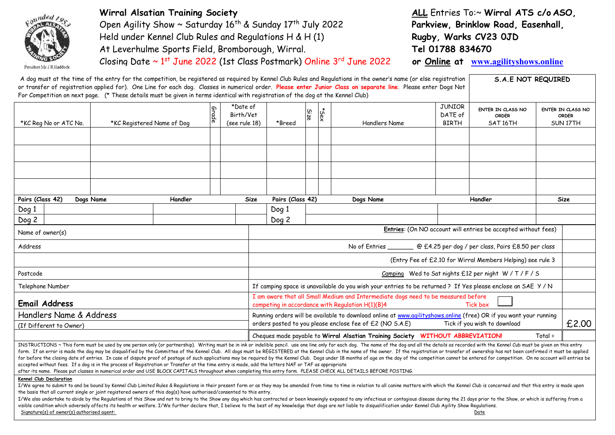

**Wirral Alsatian Training Society** Open Agility Show ~ Saturday 16<sup>th</sup> & Sunday 17<sup>th</sup> July 2022 Held under Kennel Club Rules and Regulations H & H (1) At Leverhulme Sports Field, Bromborough, Wirral. Closing Date ~ 1<sup>st</sup> June 2022 (1st Class Postmark) Online 3<sup>rd</sup> June 2022 **ALL** Entries To:~ **Wirral ATS c/o ASO, Parkview, Brinklow Road, Easenhall, Rugby, Warks CV23 0JD Tel 01788 834670**

**or Online at [www.agilityshows.online](http://www.agilityshows.online/)**

| For Competition on next page. (* These details must be given in terms identical with registration of the dog at the Kennel Club) |                            |         |       |                                        |             |                  |      |      | A dog must at the time of the entry for the competition, be registered as reguired by Kennel Club Rules and Regulations in the owner's name (or else registration<br>or transfer of registration applied for). One Line for each dog. Classes in numerical order. Please enter Junior Class on separate line. Please enter Dogs Not                                                                                                                             |                                          | <b>S.A.E NOT REQUIRED</b>                                      |           |                                               |
|----------------------------------------------------------------------------------------------------------------------------------|----------------------------|---------|-------|----------------------------------------|-------------|------------------|------|------|-----------------------------------------------------------------------------------------------------------------------------------------------------------------------------------------------------------------------------------------------------------------------------------------------------------------------------------------------------------------------------------------------------------------------------------------------------------------|------------------------------------------|----------------------------------------------------------------|-----------|-----------------------------------------------|
| *KC Reg No or ATC No.                                                                                                            | *KC Registered Name of Dog |         | Grade | *Date of<br>Birth/Vet<br>(see rule 18) |             | *Breed           | Size | *Sex | Handlers Name                                                                                                                                                                                                                                                                                                                                                                                                                                                   | <b>JUNIOR</b><br>DATE of<br><b>BIRTH</b> | ENTER IN CLASS NO<br><b>ORDER</b><br>SAT <sub>16</sub> TH      |           | ENTER IN CLASS NO<br><b>ORDER</b><br>SUN 17TH |
|                                                                                                                                  |                            |         |       |                                        |             |                  |      |      |                                                                                                                                                                                                                                                                                                                                                                                                                                                                 |                                          |                                                                |           |                                               |
|                                                                                                                                  |                            |         |       |                                        |             |                  |      |      |                                                                                                                                                                                                                                                                                                                                                                                                                                                                 |                                          |                                                                |           |                                               |
| Pairs (Class 42)<br>Dogs Name                                                                                                    |                            | Handler |       |                                        | <b>Size</b> | Pairs (Class 42) |      |      | Dogs Name                                                                                                                                                                                                                                                                                                                                                                                                                                                       |                                          | Handler                                                        |           | Size                                          |
| $\log 1$                                                                                                                         |                            |         |       |                                        |             | Dog 1            |      |      |                                                                                                                                                                                                                                                                                                                                                                                                                                                                 |                                          |                                                                |           |                                               |
| $\log 2$                                                                                                                         |                            |         |       |                                        |             | Dog 2            |      |      |                                                                                                                                                                                                                                                                                                                                                                                                                                                                 |                                          |                                                                |           |                                               |
| Name of owner(s)                                                                                                                 |                            |         |       |                                        |             |                  |      |      |                                                                                                                                                                                                                                                                                                                                                                                                                                                                 |                                          | Entries: (On NO account will entries be accepted without fees) |           |                                               |
| Address                                                                                                                          |                            |         |       |                                        |             |                  |      |      | No of Entries __________ @ £4.25 per dog / per class, Pairs £8.50 per class                                                                                                                                                                                                                                                                                                                                                                                     |                                          |                                                                |           |                                               |
|                                                                                                                                  |                            |         |       |                                        |             |                  |      |      |                                                                                                                                                                                                                                                                                                                                                                                                                                                                 |                                          | (Entry Fee of £2.10 for Wirral Members Helping) see rule 3     |           |                                               |
| Postcode                                                                                                                         |                            |         |       |                                        |             |                  |      |      |                                                                                                                                                                                                                                                                                                                                                                                                                                                                 |                                          | Camping Wed to Sat nights £12 per night W/T/F/S                |           |                                               |
| Telephone Number                                                                                                                 |                            |         |       |                                        |             |                  |      |      | If camping space is unavailable do you wish your entries to be returned ? If Yes please enclose an SAE Y/N                                                                                                                                                                                                                                                                                                                                                      |                                          |                                                                |           |                                               |
| <b>Email Address</b>                                                                                                             |                            |         |       |                                        |             |                  |      |      | I am aware that all Small Medium and Intermediate dogs need to be measured before<br>competing in accordance with Regulation H(1)(B)4                                                                                                                                                                                                                                                                                                                           |                                          | Tick box                                                       |           |                                               |
| Handlers Name & Address                                                                                                          |                            |         |       |                                        |             |                  |      |      | Running orders will be available to download online at www.agilityshows.online (free) OR if you want your running                                                                                                                                                                                                                                                                                                                                               |                                          |                                                                |           |                                               |
| (If Different to Owner)                                                                                                          |                            |         |       |                                        |             |                  |      |      | orders posted to you please enclose fee of £2 (NO S.A.E)                                                                                                                                                                                                                                                                                                                                                                                                        |                                          | Tick if you wish to download                                   |           | £2.00                                         |
|                                                                                                                                  |                            |         |       |                                        |             |                  |      |      | Cheques made payable to Wirral Alsatian Training Society WITHOUT ABBREVIATION!                                                                                                                                                                                                                                                                                                                                                                                  |                                          |                                                                | $Total =$ |                                               |
|                                                                                                                                  |                            |         |       |                                        |             |                  |      |      | INSTRUCTIONS ~ This form must be used by one person only (or partnership). Writing must be in ink or indelible pencil. use one line only for each dog. The name of the dog and all the details as recorded with the Kennel Cub<br>form. If an error is made the dog may be disqualified by the Committee of the Kennel Club. All dogs must be REGISTERED at the Kennel Club in the name of the owner. If the registration or transfer of ownership has not been |                                          |                                                                |           |                                               |

after its name. Please put classes in numerical order and USE BLOCK CAPITALS throughout when completing this entry form. PLEASE CHECK ALL DETAILS BEFORE POSTING.

accepted without fees. If a dog is in the process of Registration or Transfer at the time entry is made, add the letters NAF or TAF as appropriate

#### **Kennel Club Declaration**

I/We agree to submit to and be bound by Kennel Club Limited Rules & Regulations in their present form or as they may be amended from time to time in relation to all canine matters with which the Kennel Club is concerned an the basis that all current single or joint registered owners of this dog(s) have authorised/consented to this entry.

for before the closing date of entries. In case of dispute proof of postage of such applications may be required by the Kennel Club. Dogs under 18 months of age on the day of the competition cannot be entered for competiti

I/We also undertake to abide by the Regulations of this Show and not to bring to the Show any dog which has contracted or been knowingly exposed to any infectious or contagious disease during the 21 days prior to the Show, visible condition which adversely affects its health or welfare. I/We further declare that, I believe to the best of my knowledge that dogs are not liable to disqualification under Kennel Club Agility Show Regulations. Signature(s) of owner(s) authorised agent: Date